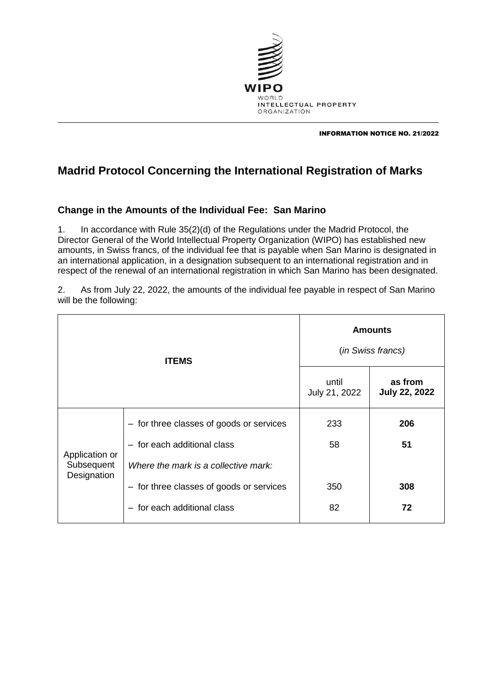

INFORMATION NOTICE NO. 21/2022

## **Madrid Protocol Concerning the International Registration of Marks**

## **Change in the Amounts of the Individual Fee: San Marino**

1. In accordance with Rule 35(2)(d) of the Regulations under the Madrid Protocol, the Director General of the World Intellectual Property Organization (WIPO) has established new amounts, in Swiss francs, of the individual fee that is payable when San Marino is designated in an international application, in a designation subsequent to an international registration and in respect of the renewal of an international registration in which San Marino has been designated.

2. As from July 22, 2022, the amounts of the individual fee payable in respect of San Marino will be the following:

| <b>ITEMS</b>                                |                                          | <b>Amounts</b><br>(in Swiss francs) |                                 |
|---------------------------------------------|------------------------------------------|-------------------------------------|---------------------------------|
|                                             |                                          | until<br>July 21, 2022              | as from<br><b>July 22, 2022</b> |
| Application or<br>Subsequent<br>Designation | - for three classes of goods or services | 233                                 | 206                             |
|                                             | - for each additional class              | 58                                  | 51                              |
|                                             | Where the mark is a collective mark:     |                                     |                                 |
|                                             | - for three classes of goods or services | 350                                 | 308                             |
|                                             | - for each additional class              | 82                                  | 72                              |